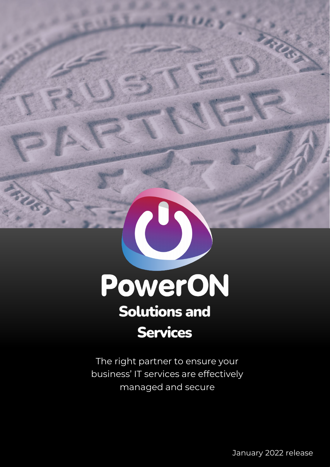

ANS.

The right partner to ensure your business' IT services are effectively managed and secure

 $\overline{\mathcal{O}}$  , and the power of extension of extension of extension of extension of extension of extension of extension of extension of extension of extension of extension of extension of extension of extension of extensio January 2022 release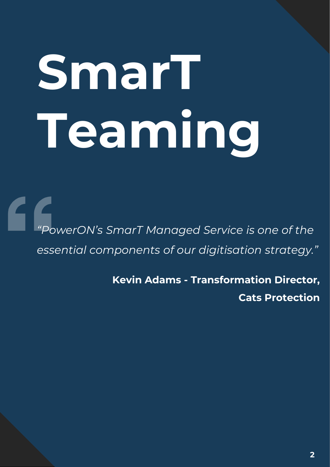# **SmarT Teaming**

*"PowerON's SmarT Managed Service is one of the essential components of our digitisation strategy."*

> **Kevin Adams - Transformation Director, Cats Protection**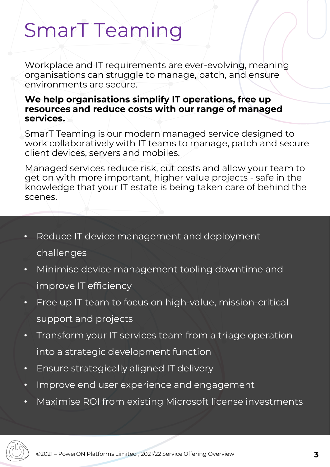# SmarT Teaming

Workplace and IT requirements are ever-evolving, meaning organisations can struggle to manage, patch, and ensure environments are secure.

#### **We help organisations simplify IT operations, free up resources and reduce costs with our range of managed services.**

SmarT Teaming is our modern managed service designed to work collaboratively with IT teams to manage, patch and secure client devices, servers and mobiles.

Managed services reduce risk, cut costs and allow your team to get on with more important, higher value projects - safe in the knowledge that your IT estate is being taken care of behind the scenes.

- Reduce IT device management and deployment challenges
- Minimise device management tooling downtime and improve IT efficiency
- Free up IT team to focus on high-value, mission-critical support and projects
- Transform your IT services team from a triage operation into a strategic development function
- Ensure strategically aligned IT delivery
- Improve end user experience and engagement
- Maximise ROI from existing Microsoft license investments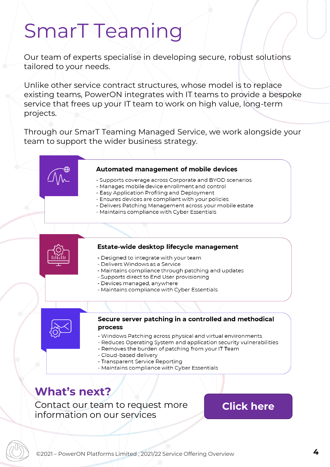## SmarT Teaming

Our team of experts specialise in developing secure, robust solutions tailored to your needs.

Unlike other service contract structures, whose model is to replace existing teams, PowerON integrates with IT teams to provide a bespoke service that frees up your IT team to work on high value, long-term projects.

Through our SmarT Teaming Managed Service, we work alongside your team to support the wider business strategy.

#### Automated management of mobile devices

- Supports coverage across Corporate and BYOD scenarios
- Manages mobile device enrollment and control
- Easy Application Profiling and Deployment
- Ensures devices are compliant with your policies
- Delivers Patching Management across your mobile estate
- Maintains compliance with Cyber Essentials

#### Estate-wide desktop lifecycle management

- Designed to integrate with your team
- Delivers Windows as a Service
- Maintains compliance through patching and updates
- Supports direct to End User provisioning
- Devices managed, anywhere
- Maintains compliance with Cyber Essentials



#### Secure server patching in a controlled and methodical process

- Windows Patching across physical and virtual environments
- Reduces Operating System and application security vulnerabilities
- Removes the burden of patching from your IT Team
- Cloud-based delivery
- Transparent Service Reporting
- Maintains compliance with Cyber Essentials

#### **What's next?**

Contact our team to request more information on our services

#### **[Click here](https://info.poweronplatforms.com/request-more-info)**